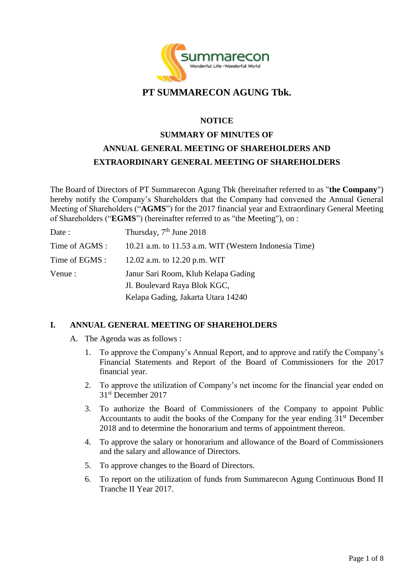

# **PT SUMMARECON AGUNG Tbk.**

#### **NOTICE**

# **SUMMARY OF MINUTES OF ANNUAL GENERAL MEETING OF SHAREHOLDERS AND EXTRAORDINARY GENERAL MEETING OF SHAREHOLDERS**

The Board of Directors of PT Summarecon Agung Tbk (hereinafter referred to as "**the Company**") hereby notify the Company's Shareholders that the Company had convened the Annual General Meeting of Shareholders ("**AGMS**") for the 2017 financial year and Extraordinary General Meeting of Shareholders ("**EGMS**") (hereinafter referred to as "the Meeting"), on :

| Date :         | Thursday, 7 <sup>th</sup> June 2018                   |
|----------------|-------------------------------------------------------|
| Time of AGMS : | 10.21 a.m. to 11.53 a.m. WIT (Western Indonesia Time) |
| Time of EGMS : | 12.02 a.m. to 12.20 p.m. WIT                          |
| Venue :        | Janur Sari Room, Klub Kelapa Gading                   |
|                | J. Boulevard Raya Blok KGC,                           |
|                | Kelapa Gading, Jakarta Utara 14240                    |

### **I. ANNUAL GENERAL MEETING OF SHAREHOLDERS**

- A. The Agenda was as follows :
	- 1. To approve the Company's Annual Report, and to approve and ratify the Company's Financial Statements and Report of the Board of Commissioners for the 2017 financial year.
	- 2. To approve the utilization of Company's net income for the financial year ended on 31st December 2017
	- 3. To authorize the Board of Commissioners of the Company to appoint Public Accountants to audit the books of the Company for the year ending  $31<sup>st</sup>$  December 2018 and to determine the honorarium and terms of appointment thereon.
	- 4. To approve the salary or honorarium and allowance of the Board of Commissioners and the salary and allowance of Directors.
	- 5. To approve changes to the Board of Directors.
	- 6. To report on the utilization of funds from Summarecon Agung Continuous Bond II Tranche II Year 2017.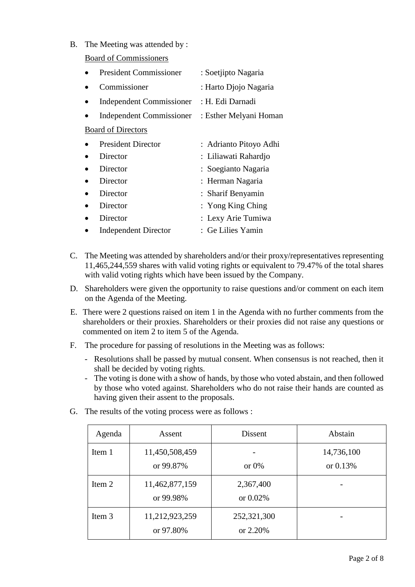B. The Meeting was attended by :

Board of Commissioners

| <b>President Commissioner</b> | : Soetjipto Nagaria    |
|-------------------------------|------------------------|
| Commissioner                  | : Harto Djojo Nagaria  |
| Independent Commissioner      | : H. Edi Darnadi       |
| Independent Commissioner      | : Esther Melyani Homan |
| <b>Board of Directors</b>     |                        |
| <b>President Director</b>     | : Adrianto Pitoyo Adhi |
| Director                      | : Liliawati Rahardjo   |
| Director                      | : Soegianto Nagaria    |
| Director                      | : Herman Nagaria       |
| Director                      | : Sharif Benyamin      |
| Director                      | : Yong King Ching      |
| Director                      | : Lexy Arie Tumiwa     |
| <b>Independent Director</b>   | : Ge Lilies Yamin      |

- C. The Meeting was attended by shareholders and/or their proxy/representatives representing 11,465,244,559 shares with valid voting rights or equivalent to 79.47% of the total shares with valid voting rights which have been issued by the Company.
- D. Shareholders were given the opportunity to raise questions and/or comment on each item on the Agenda of the Meeting.
- E. There were 2 questions raised on item 1 in the Agenda with no further comments from the shareholders or their proxies. Shareholders or their proxies did not raise any questions or commented on item 2 to item 5 of the Agenda.
- F. The procedure for passing of resolutions in the Meeting was as follows:
	- Resolutions shall be passed by mutual consent. When consensus is not reached, then it shall be decided by voting rights.
	- The voting is done with a show of hands, by those who voted abstain, and then followed by those who voted against. Shareholders who do not raise their hands are counted as having given their assent to the proposals.
- G. The results of the voting process were as follows :

| Agenda | Assent                      | <b>Dissent</b>           | Abstain                  |
|--------|-----------------------------|--------------------------|--------------------------|
| Item 1 | 11,450,508,459<br>or 99.87% | or $0\%$                 | 14,736,100<br>or $0.13%$ |
| Item 2 | 11,462,877,159<br>or 99.98% | 2,367,400<br>or $0.02\%$ |                          |
| Item 3 | 11,212,923,259<br>or 97.80% | 252,321,300<br>or 2.20%  |                          |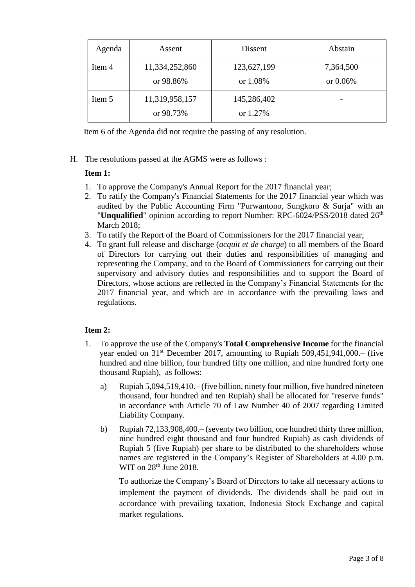| Agenda | Assent                      | Dissent                 | Abstain               |
|--------|-----------------------------|-------------------------|-----------------------|
| Item 4 | 11,334,252,860<br>or 98.86% | 123,627,199<br>or 1.08% | 7,364,500<br>or 0.06% |
| Item 5 | 11,319,958,157<br>or 98.73% | 145,286,402<br>or 1.27% |                       |

Item 6 of the Agenda did not require the passing of any resolution.

H. The resolutions passed at the AGMS were as follows :

### **Item 1:**

- 1. To approve the Company's Annual Report for the 2017 financial year;
- 2. To ratify the Company's Financial Statements for the 2017 financial year which was audited by the Public Accounting Firm "Purwantono, Sungkoro & Surja" with an "Unqualified" opinion according to report Number: RPC-6024/PSS/2018 dated 26<sup>th</sup> March 2018;
- 3. To ratify the Report of the Board of Commissioners for the 2017 financial year;
- 4. To grant full release and discharge (*acquit et de charge*) to all members of the Board of Directors for carrying out their duties and responsibilities of managing and representing the Company, and to the Board of Commissioners for carrying out their supervisory and advisory duties and responsibilities and to support the Board of Directors, whose actions are reflected in the Company's Financial Statements for the 2017 financial year, and which are in accordance with the prevailing laws and regulations.

### **Item 2:**

- 1. To approve the use of the Company's **Total Comprehensive Income** for the financial year ended on  $31<sup>st</sup>$  December 2017, amounting to Rupiah 509,451,941,000.– (five hundred and nine billion, four hundred fifty one million, and nine hundred forty one thousand Rupiah), as follows:
	- a) Rupiah 5,094,519,410.– (five billion, ninety four million, five hundred nineteen thousand, four hundred and ten Rupiah) shall be allocated for "reserve funds" in accordance with Article 70 of Law Number 40 of 2007 regarding Limited Liability Company.
	- b) Rupiah 72,133,908,400.– (seventy two billion, one hundred thirty three million, nine hundred eight thousand and four hundred Rupiah) as cash dividends of Rupiah 5 (five Rupiah) per share to be distributed to the shareholders whose names are registered in the Company's Register of Shareholders at 4.00 p.m. WIT on  $28<sup>th</sup>$  June 2018.

To authorize the Company's Board of Directors to take all necessary actions to implement the payment of dividends. The dividends shall be paid out in accordance with prevailing taxation, Indonesia Stock Exchange and capital market regulations.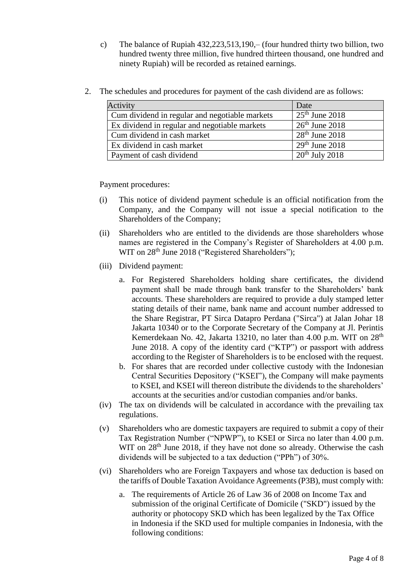- c) The balance of Rupiah 432,223,513,190,– (four hundred thirty two billion, two hundred twenty three million, five hundred thirteen thousand, one hundred and ninety Rupiah) will be recorded as retained earnings.
- 2. The schedules and procedures for payment of the cash dividend are as follows:

| Activity                                       | Date             |
|------------------------------------------------|------------------|
| Cum dividend in regular and negotiable markets | $25th$ June 2018 |
| Ex dividend in regular and negotiable markets  | $26th$ June 2018 |
| Cum dividend in cash market                    | $28th$ June 2018 |
| Ex dividend in cash market                     | $29th$ June 2018 |
| Payment of cash dividend                       | $20th$ July 2018 |

Payment procedures:

- (i) This notice of dividend payment schedule is an official notification from the Company, and the Company will not issue a special notification to the Shareholders of the Company;
- (ii) Shareholders who are entitled to the dividends are those shareholders whose names are registered in the Company's Register of Shareholders at 4.00 p.m. WIT on 28<sup>th</sup> June 2018 ("Registered Shareholders");
- (iii) Dividend payment:
	- a. For Registered Shareholders holding share certificates, the dividend payment shall be made through bank transfer to the Shareholders' bank accounts. These shareholders are required to provide a duly stamped letter stating details of their name, bank name and account number addressed to the Share Registrar, PT Sirca Datapro Perdana ("Sirca") at Jalan Johar 18 Jakarta 10340 or to the Corporate Secretary of the Company at Jl. Perintis Kemerdekaan No. 42, Jakarta 13210, no later than 4.00 p.m. WIT on  $28<sup>th</sup>$ June 2018. A copy of the identity card ("KTP") or passport with address according to the Register of Shareholders is to be enclosed with the request.
	- b. For shares that are recorded under collective custody with the Indonesian Central Securities Depository ("KSEI"), the Company will make payments to KSEI, and KSEI will thereon distribute the dividends to the shareholders' accounts at the securities and/or custodian companies and/or banks.
- (iv) The tax on dividends will be calculated in accordance with the prevailing tax regulations.
- (v) Shareholders who are domestic taxpayers are required to submit a copy of their Tax Registration Number ("NPWP"), to KSEI or Sirca no later than 4.00 p.m. WIT on 28<sup>th</sup> June 2018, if they have not done so already. Otherwise the cash dividends will be subjected to a tax deduction ("PPh") of 30%.
- (vi) Shareholders who are Foreign Taxpayers and whose tax deduction is based on the tariffs of Double Taxation Avoidance Agreements(P3B), must comply with:
	- a. The requirements of Article 26 of Law 36 of 2008 on Income Tax and submission of the original Certificate of Domicile ("SKD") issued by the authority or photocopy SKD which has been legalized by the Tax Office in Indonesia if the SKD used for multiple companies in Indonesia, with the following conditions: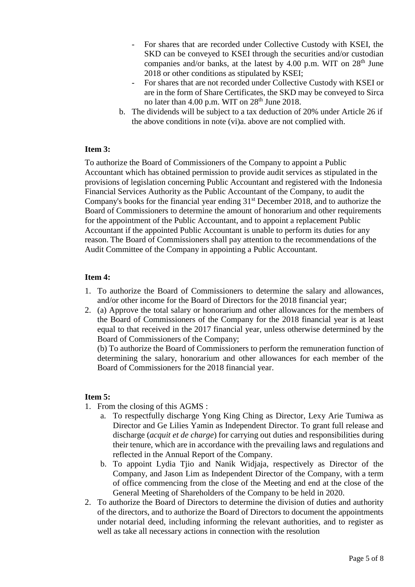- For shares that are recorded under Collective Custody with KSEI, the SKD can be conveyed to KSEI through the securities and/or custodian companies and/or banks, at the latest by  $4.00$  p.m. WIT on  $28<sup>th</sup>$  June 2018 or other conditions as stipulated by KSEI;
- For shares that are not recorded under Collective Custody with KSEI or are in the form of Share Certificates, the SKD may be conveyed to Sirca no later than 4.00 p.m. WIT on 28<sup>th</sup> June 2018.
- b. The dividends will be subject to a tax deduction of 20% under Article 26 if the above conditions in note (vi)a. above are not complied with.

#### **Item 3:**

To authorize the Board of Commissioners of the Company to appoint a Public Accountant which has obtained permission to provide audit services as stipulated in the provisions of legislation concerning Public Accountant and registered with the Indonesia Financial Services Authority as the Public Accountant of the Company, to audit the Company's books for the financial year ending 31<sup>st</sup> December 2018, and to authorize the Board of Commissioners to determine the amount of honorarium and other requirements for the appointment of the Public Accountant, and to appoint a replacement Public Accountant if the appointed Public Accountant is unable to perform its duties for any reason. The Board of Commissioners shall pay attention to the recommendations of the Audit Committee of the Company in appointing a Public Accountant.

#### **Item 4:**

- 1. To authorize the Board of Commissioners to determine the salary and allowances, and/or other income for the Board of Directors for the 2018 financial year;
- 2. (a) Approve the total salary or honorarium and other allowances for the members of the Board of Commissioners of the Company for the 2018 financial year is at least equal to that received in the 2017 financial year, unless otherwise determined by the Board of Commissioners of the Company;

(b) To authorize the Board of Commissioners to perform the remuneration function of determining the salary, honorarium and other allowances for each member of the Board of Commissioners for the 2018 financial year.

#### **Item 5:**

- 1. From the closing of this AGMS :
	- a. To respectfully discharge Yong King Ching as Director, Lexy Arie Tumiwa as Director and Ge Lilies Yamin as Independent Director. To grant full release and discharge (*acquit et de charge*) for carrying out duties and responsibilities during their tenure, which are in accordance with the prevailing laws and regulations and reflected in the Annual Report of the Company.
	- b. To appoint Lydia Tjio and Nanik Widjaja, respectively as Director of the Company, and Jason Lim as Independent Director of the Company, with a term of office commencing from the close of the Meeting and end at the close of the General Meeting of Shareholders of the Company to be held in 2020.
- 2. To authorize the Board of Directors to determine the division of duties and authority of the directors, and to authorize the Board of Directors to document the appointments under notarial deed, including informing the relevant authorities, and to register as well as take all necessary actions in connection with the resolution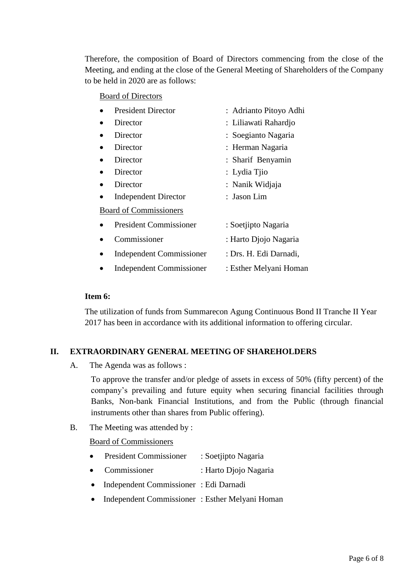Therefore, the composition of Board of Directors commencing from the close of the Meeting, and ending at the close of the General Meeting of Shareholders of the Company to be held in 2020 are as follows:

#### Board of Directors

| <b>President Director</b>       | : Adrianto Pitoyo Adhi |
|---------------------------------|------------------------|
| Director                        | : Liliawati Rahardjo   |
| Director                        | : Soegianto Nagaria    |
| Director                        | : Herman Nagaria       |
| Director                        | : Sharif Benyamin      |
| Director                        | : Lydia Tjio           |
| Director                        | : Nanik Widjaja        |
| <b>Independent Director</b>     | : Jason Lim            |
| <b>Board of Commissioners</b>   |                        |
| <b>President Commissioner</b>   | : Soetjipto Nagaria    |
| Commissioner                    | : Harto Djojo Nagaria  |
| <b>Independent Commissioner</b> | : Drs. H. Edi Darnadi, |
| <b>Independent Commissioner</b> | : Esther Melyani Homan |
|                                 |                        |

#### **Item 6:**

The utilization of funds from Summarecon Agung Continuous Bond II Tranche II Year 2017 has been in accordance with its additional information to offering circular.

#### **II. EXTRAORDINARY GENERAL MEETING OF SHAREHOLDERS**

A. The Agenda was as follows :

To approve the transfer and/or pledge of assets in excess of 50% (fifty percent) of the company's prevailing and future equity when securing financial facilities through Banks, Non-bank Financial Institutions, and from the Public (through financial instruments other than shares from Public offering).

B. The Meeting was attended by :

#### Board of Commissioners

- President Commissioner : Soetjipto Nagaria
- Commissioner : Harto Djojo Nagaria
- Independent Commissioner : Edi Darnadi
- Independent Commissioner : Esther Melyani Homan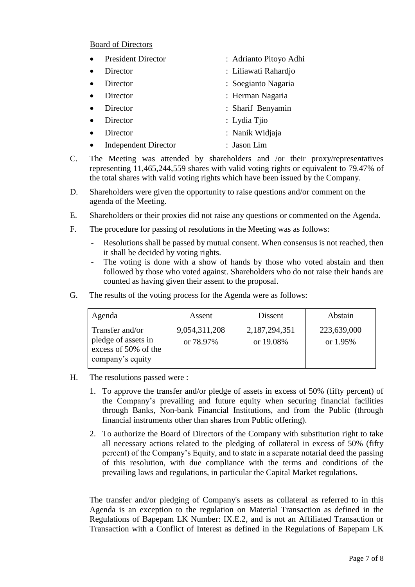#### Board of Directors

| <b>President Director</b>   | : Adrianto Pitoyo Adhi |
|-----------------------------|------------------------|
| Director                    | : Liliawati Rahardjo   |
| Director                    | : Soegianto Nagaria    |
| Director                    | : Herman Nagaria       |
| Director                    | : Sharif Benyamin      |
| Director                    | : Lydia Tiio           |
| Director                    | : Nanik Widjaja        |
| <b>Independent Director</b> | : Jason Lim            |

- C. The Meeting was attended by shareholders and /or their proxy/representatives representing 11,465,244,559 shares with valid voting rights or equivalent to 79.47% of the total shares with valid voting rights which have been issued by the Company.
- D. Shareholders were given the opportunity to raise questions and/or comment on the agenda of the Meeting.
- E. Shareholders or their proxies did not raise any questions or commented on the Agenda.
- F. The procedure for passing of resolutions in the Meeting was as follows:
	- Resolutions shall be passed by mutual consent. When consensus is not reached, then it shall be decided by voting rights.
	- The voting is done with a show of hands by those who voted abstain and then followed by those who voted against. Shareholders who do not raise their hands are counted as having given their assent to the proposal.
- G. The results of the voting process for the Agenda were as follows:

| Agenda                                                                             | Assent                     | Dissent                    | Abstain                   |
|------------------------------------------------------------------------------------|----------------------------|----------------------------|---------------------------|
| Transfer and/or<br>pledge of assets in<br>excess of 50% of the<br>company's equity | 9,054,311,208<br>or 78.97% | 2,187,294,351<br>or 19.08% | 223,639,000<br>or $1.95%$ |

- H. The resolutions passed were :
	- 1. To approve the transfer and/or pledge of assets in excess of 50% (fifty percent) of the Company's prevailing and future equity when securing financial facilities through Banks, Non-bank Financial Institutions, and from the Public (through financial instruments other than shares from Public offering).
	- 2. To authorize the Board of Directors of the Company with substitution right to take all necessary actions related to the pledging of collateral in excess of 50% (fifty percent) of the Company's Equity, and to state in a separate notarial deed the passing of this resolution, with due compliance with the terms and conditions of the prevailing laws and regulations, in particular the Capital Market regulations.

The transfer and/or pledging of Company's assets as collateral as referred to in this Agenda is an exception to the regulation on Material Transaction as defined in the Regulations of Bapepam LK Number: IX.E.2, and is not an Affiliated Transaction or Transaction with a Conflict of Interest as defined in the Regulations of Bapepam LK